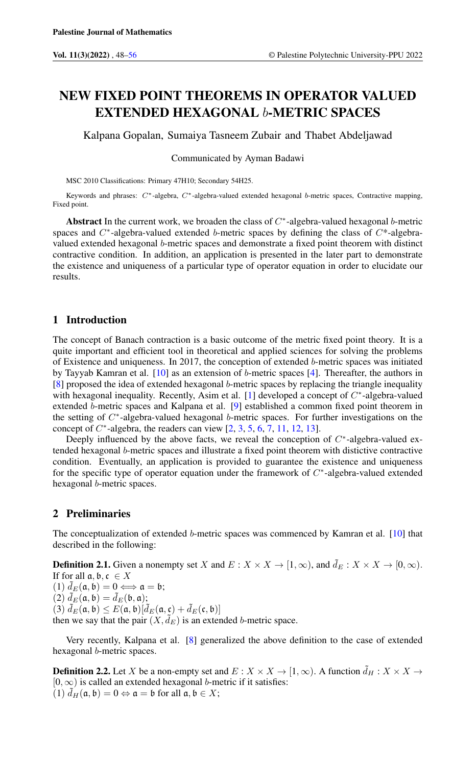# NEW FIXED POINT THEOREMS IN OPERATOR VALUED EXTENDED HEXAGONAL b-METRIC SPACES

Kalpana Gopalan, Sumaiya Tasneem Zubair and Thabet Abdeljawad

Communicated by Ayman Badawi

MSC 2010 Classifications: Primary 47H10; Secondary 54H25.

Keywords and phrases: C∗-algebra, C∗-algebra-valued extended hexagonal b-metric spaces, Contractive mapping, Fixed point.

Abstract In the current work, we broaden the class of  $C^*$ -algebra-valued hexagonal b-metric spaces and  $C^*$ -algebra-valued extended b-metric spaces by defining the class of  $C^*$ -algebravalued extended hexagonal b-metric spaces and demonstrate a fixed point theorem with distinct contractive condition. In addition, an application is presented in the later part to demonstrate the existence and uniqueness of a particular type of operator equation in order to elucidate our results.

## 1 Introduction

The concept of Banach contraction is a basic outcome of the metric fixed point theory. It is a quite important and efficient tool in theoretical and applied sciences for solving the problems of Existence and uniqueness. In 2017, the conception of extended  $b$ -metric spaces was initiated by Tayyab Kamran et al. [\[10\]](#page-7-1) as an extension of b-metric spaces [\[4\]](#page-7-2). Thereafter, the authors in  $[8]$  proposed the idea of extended hexagonal *b*-metric spaces by replacing the triangle inequality with hexagonal inequality. Recently, Asim et al. [\[1\]](#page-7-4) developed a concept of  $C^*$ -algebra-valued extended b-metric spaces and Kalpana et al. [\[9\]](#page-7-5) established a common fixed point theorem in the setting of  $C^*$ -algebra-valued hexagonal b-metric spaces. For further investigations on the concept of  $C^*$ -algebra, the readers can view  $[2, 3, 5, 6, 7, 11, 12, 13]$  $[2, 3, 5, 6, 7, 11, 12, 13]$  $[2, 3, 5, 6, 7, 11, 12, 13]$  $[2, 3, 5, 6, 7, 11, 12, 13]$  $[2, 3, 5, 6, 7, 11, 12, 13]$  $[2, 3, 5, 6, 7, 11, 12, 13]$  $[2, 3, 5, 6, 7, 11, 12, 13]$  $[2, 3, 5, 6, 7, 11, 12, 13]$  $[2, 3, 5, 6, 7, 11, 12, 13]$  $[2, 3, 5, 6, 7, 11, 12, 13]$  $[2, 3, 5, 6, 7, 11, 12, 13]$  $[2, 3, 5, 6, 7, 11, 12, 13]$  $[2, 3, 5, 6, 7, 11, 12, 13]$  $[2, 3, 5, 6, 7, 11, 12, 13]$  $[2, 3, 5, 6, 7, 11, 12, 13]$ .

Deeply influenced by the above facts, we reveal the conception of  $C^*$ -algebra-valued extended hexagonal b-metric spaces and illustrate a fixed point theorem with distictive contractive condition. Eventually, an application is provided to guarantee the existence and uniqueness for the specific type of operator equation under the framework of  $C^*$ -algebra-valued extended hexagonal b-metric spaces.

## 2 Preliminaries

The conceptualization of extended b-metric spaces was commenced by Kamran et al. [\[10\]](#page-7-1) that described in the following:

**Definition 2.1.** Given a nonempty set X and  $E: X \times X \to [1, \infty)$ , and  $\tilde{d}_E: X \times X \to [0, \infty)$ . If for all  $\mathfrak{a}, \mathfrak{b}, \mathfrak{c} \in X$ (1)  $\tilde{d}_E(\mathfrak{a}, \mathfrak{b}) = 0 \Longleftrightarrow \mathfrak{a} = \mathfrak{b};$ (2)  $\tilde{d}_E(\mathfrak{a}, \mathfrak{b}) = \tilde{d}_E(\mathfrak{b}, \mathfrak{a});$ (3)  $\bar{d}_E(\mathfrak{a}, \mathfrak{b}) \leq E(\mathfrak{a}, \mathfrak{b}) [\tilde{d}_E(\mathfrak{a}, \mathfrak{c}) + \tilde{d}_E(\mathfrak{c}, \mathfrak{b})]$ then we say that the pair  $(X, \tilde{d}_E)$  is an extended b-metric space.

Very recently, Kalpana et al. [\[8\]](#page-7-3) generalized the above definition to the case of extended hexagonal b-metric spaces.

**Definition 2.2.** Let X be a non-empty set and  $E: X \times X \to [1,\infty)$ . A function  $\tilde{d}_H: X \times X \to$  $[0, \infty)$  is called an extended hexagonal *b*-metric if it satisfies: (1)  $d_H(\mathfrak{a}, \mathfrak{b}) = 0 \Leftrightarrow \mathfrak{a} = \mathfrak{b}$  for all  $\mathfrak{a}, \mathfrak{b} \in X$ ;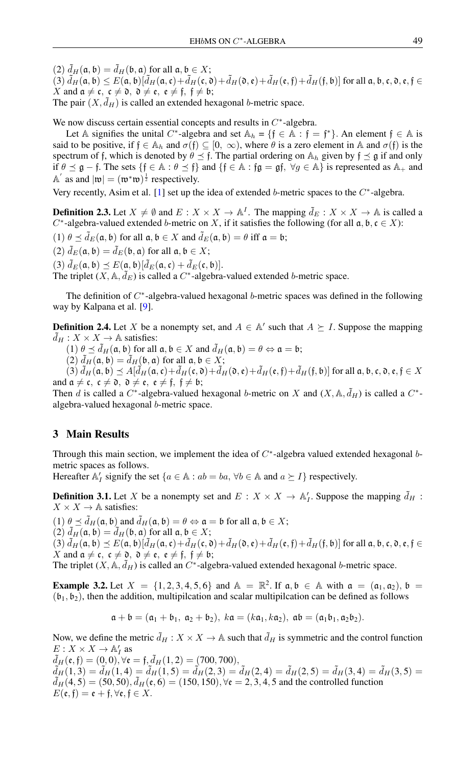(2)  $\tilde{d}_H(\mathfrak{a}, \mathfrak{b}) = \tilde{d}_H(\mathfrak{b}, \mathfrak{a})$  for all  $\mathfrak{a}, \mathfrak{b} \in X$ ;  $(3)\tilde{d}_H(\mathfrak{a}, \mathfrak{b}) \leq E(\mathfrak{a}, \mathfrak{b})[\tilde{d}_H(\mathfrak{a}, \mathfrak{c})+\tilde{d}_H(\mathfrak{c}, \mathfrak{d})+\tilde{d}_H(\mathfrak{d}, \mathfrak{e})+\tilde{d}_H(\mathfrak{e}, \mathfrak{f})+\tilde{d}_H(\mathfrak{f}, \mathfrak{b})]$  for all  $\mathfrak{a}, \mathfrak{b}, \mathfrak{c}, \mathfrak{d}, \mathfrak{e}, \mathfrak{f} \in$ X and  $a \neq c$ ,  $c \neq 0$ ,  $\partial \neq e$ ,  $e \neq f$ ,  $f \neq b$ ; The pair  $(X, \tilde{d}_H)$  is called an extended hexagonal *b*-metric space.

We now discuss certain essential concepts and results in  $C^*$ -algebra.

Let A signifies the unital C<sup>\*</sup>-algebra and set  $\mathbb{A}_h = \{f \in \mathbb{A} : f = f^*\}\$ . An element  $f \in \mathbb{A}$  is said to be positive, if  $f \in A_h$  and  $\sigma(f) \subseteq [0, \infty)$ , where  $\theta$  is a zero element in A and  $\sigma(f)$  is the spectrum of f, which is denoted by  $\theta \leq f$ . The partial ordering on  $\mathbb{A}_h$  given by  $f \leq g$  if and only if  $\theta \preceq \mathfrak{g} - \mathfrak{f}$ . The sets  $\{\mathfrak{f} \in \mathbb{A} : \theta \preceq \mathfrak{f}\}\$  and  $\{\mathfrak{f} \in \mathbb{A} : \mathfrak{f}\mathfrak{g} = \mathfrak{g}\mathfrak{f}, \ \forall g \in \mathbb{A}\}\$ is represented as  $\mathbb{A}_+$  and  $\mathbb{A}'$  as and  $|\mathfrak{w}| = (\mathfrak{w}^*\mathfrak{w})^{\frac{1}{2}}$  respectively.

Very recently, Asim et al. [\[1\]](#page-7-4) set up the idea of extended b-metric spaces to the  $C^*$ -algebra.

**Definition 2.3.** Let  $X \neq \emptyset$  and  $E : X \times X \to \mathbb{A}^I$ . The mapping  $\tilde{d}_E : X \times X \to \mathbb{A}$  is called a C<sup>\*</sup>-algebra-valued extended b-metric on X, if it satisfies the following (for all  $a, b, c \in X$ ):

(1)  $\theta \preceq \tilde{d}_E(\mathfrak{a}, \mathfrak{b})$  for all  $\mathfrak{a}, \mathfrak{b} \in X$  and  $\tilde{d}_E(\mathfrak{a}, \mathfrak{b}) = \theta$  iff  $\mathfrak{a} = \mathfrak{b}$ ;

(2)  $\tilde{d}_E(\mathfrak{a}, \mathfrak{b}) = \tilde{d}_E(\mathfrak{b}, \mathfrak{a})$  for all  $\mathfrak{a}, \mathfrak{b} \in X$ ;

(3)  $\tilde{d}_E(\mathfrak{a}, \mathfrak{b}) \preceq E(\mathfrak{a}, \mathfrak{b})[\tilde{d}_E(\mathfrak{a}, \mathfrak{c}) + \tilde{d}_E(\mathfrak{c}, \mathfrak{b})].$ 

The triplet  $(X, \mathbb{A}, \tilde{d}_E)$  is called a C<sup>\*</sup>-algebra-valued extended b-metric space.

The definition of  $C^*$ -algebra-valued hexagonal b-metric spaces was defined in the following way by Kalpana et al. [\[9\]](#page-7-5).

**Definition 2.4.** Let X be a nonempty set, and  $A \in \mathbb{A}'$  such that  $A \succeq I$ . Suppose the mapping  $\tilde{d}_H : X \times X \to \mathbb{A}$  satisfies:

(1)  $\theta \preceq \tilde{d}_H(\mathfrak{a}, \mathfrak{b})$  for all  $\mathfrak{a}, \mathfrak{b} \in X$  and  $\tilde{d}_H(\mathfrak{a}, \mathfrak{b}) = \theta \Leftrightarrow \mathfrak{a} = \mathfrak{b}$ ;

(2)  $\tilde{d}_H(\mathfrak{a}, \mathfrak{b}) = \tilde{d}_H(\mathfrak{b}, \mathfrak{a})$  for all  $\mathfrak{a}, \mathfrak{b} \in X$ ;

(3)  $\tilde{d}_H(\mathfrak{a}, \mathfrak{b}) \preceq A[\tilde{d}_H(\mathfrak{a}, \mathfrak{c})+\tilde{d}_H(\mathfrak{c}, \mathfrak{d})+\tilde{d}_H(\mathfrak{d}, \mathfrak{e})+\tilde{d}_H(\mathfrak{e}, \mathfrak{f})+\tilde{d}_H(\mathfrak{f}, \mathfrak{b})]$  for all  $\mathfrak{a}, \mathfrak{b}, \mathfrak{c}, \mathfrak{d}, \mathfrak{e}, \mathfrak{f} \in X$ and  $\mathfrak{a} \neq \mathfrak{c}$ ,  $\mathfrak{c} \neq \mathfrak{d}$ ,  $\mathfrak{d} \neq \mathfrak{e}$ ,  $\mathfrak{e} \neq \mathfrak{f}$ ,  $\mathfrak{f} \neq \mathfrak{b}$ ;

Then d is called a C<sup>\*</sup>-algebra-valued hexagonal b-metric on X and  $(X, \mathbb{A}, \tilde{d}_H)$  is called a C<sup>\*</sup>algebra-valued hexagonal b-metric space.

### 3 Main Results

Through this main section, we implement the idea of  $C^*$ -algebra valued extended hexagonal bmetric spaces as follows.

Hereafter  $\mathbb{A}'_I$  signify the set  $\{a \in \mathbb{A} : ab = ba, \forall b \in \mathbb{A} \text{ and } a \succeq I\}$  respectively.

**Definition 3.1.** Let X be a nonempty set and  $E: X \times X \to \mathbb{A}'_I$ . Suppose the mapping  $\tilde{d}_H$ :  $X \times X \rightarrow \mathbb{A}$  satisfies:

(1)  $\theta \preceq \tilde{d}_H(\mathfrak{a}, \mathfrak{b})$  and  $\tilde{d}_H(\mathfrak{a}, \mathfrak{b}) = \theta \Leftrightarrow \mathfrak{a} = \mathfrak{b}$  for all  $\mathfrak{a}, \mathfrak{b} \in X$ ;

(2)  $\tilde{d}_H(\mathfrak{a}, \mathfrak{b}) = \tilde{d}_H(\mathfrak{b}, \mathfrak{a})$  for all  $\mathfrak{a}, \mathfrak{b} \in X$ ;

(3)  $\tilde{d}_H(\mathfrak{a}, \mathfrak{b}) \preceq E(\mathfrak{a}, \mathfrak{b})[\tilde{d}_H(\mathfrak{a}, \mathfrak{c})+\tilde{d}_H(\mathfrak{c}, \mathfrak{d})+\tilde{d}_H(\mathfrak{d}, \mathfrak{e})+\tilde{d}_H(\mathfrak{e}, \mathfrak{f})+\tilde{d}_H(\mathfrak{f}, \mathfrak{b})]$  for all  $\mathfrak{a}, \mathfrak{b}, \mathfrak{c}, \mathfrak{d}, \mathfrak{e}, \mathfrak{f} \in$ X and  $\mathfrak{a} \neq \mathfrak{c}, \mathfrak{c} \neq \mathfrak{d}, \mathfrak{d} \neq \mathfrak{e}, \mathfrak{e} \neq \mathfrak{f}, \mathfrak{f} \neq \mathfrak{b};$ 

The triplet  $(X, \mathbb{A}, \tilde{d}_H)$  is called an  $C^*$ -algebra-valued extended hexagonal b-metric space.

**Example 3.2.** Let  $X = \{1, 2, 3, 4, 5, 6\}$  and  $\mathbb{A} = \mathbb{R}^2$ . If  $\mathfrak{a}, \mathfrak{b} \in \mathbb{A}$  with  $\mathfrak{a} = (\mathfrak{a}_1, \mathfrak{a}_2), \mathfrak{b} =$  $(b_1, b_2)$ , then the addition, multipilcation and scalar multipilcation can be defined as follows

$$
\mathfrak{a} + \mathfrak{b} = (\mathfrak{a}_1 + \mathfrak{b}_1, \ \mathfrak{a}_2 + \mathfrak{b}_2), \ k\mathfrak{a} = (k\mathfrak{a}_1, k\mathfrak{a}_2), \ \mathfrak{a}\mathfrak{b} = (\mathfrak{a}_1\mathfrak{b}_1, \mathfrak{a}_2\mathfrak{b}_2).
$$

Now, we define the metric  $\tilde{d}_H : X \times X \to \mathbb{A}$  such that  $\tilde{d}_H$  is symmetric and the control function  $E: X \times X \to \mathbb{A}'_I$  as

 $\tilde{d}_H(\mathfrak{e}, \mathfrak{f}) = (0, 0), \forall \mathfrak{e} = \mathfrak{f}, \tilde{d}_H(1, 2) = (700, 700),$  $\tilde{d}_H(1,3) = \tilde{d}_H(1,4) = \tilde{d}_H(1,5) = \tilde{d}_H(2,3) = \tilde{d}_H(2,4) = \tilde{d}_H(2,5) = \tilde{d}_H(3,4) = \tilde{d}_H(3,5) =$  $\tilde{d}_H(4, 5) = (50, 50), \tilde{d}_H(\varepsilon, 6) = (150, 150), \forall \varepsilon = 2, 3, 4, 5$  and the controlled function  $E(\mathfrak{e}, \mathfrak{f}) = \mathfrak{e} + \mathfrak{f}, \forall \mathfrak{e}, \mathfrak{f} \in X.$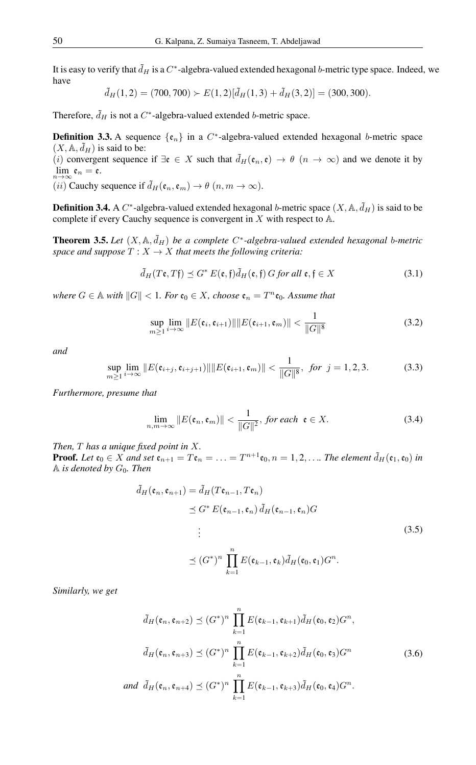It is easy to verify that  $\tilde{d}_H$  is a  $C^*$ -algebra-valued extended hexagonal b-metric type space. Indeed, we have

 $\tilde{d}_H(1, 2) = (700, 700) \succ E(1, 2)[\tilde{d}_H(1, 3) + \tilde{d}_H(3, 2)] = (300, 300).$ 

Therefore,  $\tilde{d}_H$  is not a C<sup>\*</sup>-algebra-valued extended b-metric space.

**Definition 3.3.** A sequence  $\{\epsilon_n\}$  in a C<sup>\*</sup>-algebra-valued extended hexagonal b-metric space  $(X, A, \tilde{d}_H)$  is said to be:

(i) convergent sequence if  $\exists \mathfrak{e} \in X$  such that  $\tilde{d}_H(\mathfrak{e}_n, \mathfrak{e}) \to \theta$   $(n \to \infty)$  and we denote it by  $\lim_{n\to\infty} \mathfrak{e}_n = \mathfrak{e}.$ 

(*ii*) Cauchy sequence if  $\tilde{d}_H(\mathfrak{e}_n, \mathfrak{e}_m) \to \theta$   $(n, m \to \infty)$ .

**Definition 3.4.** A C<sup>\*</sup>-algebra-valued extended hexagonal b-metric space  $(X, \mathbb{A}, \tilde{d}_H)$  is said to be complete if every Cauchy sequence is convergent in X with respect to A.

<span id="page-2-1"></span>**Theorem 3.5.** Let  $(X, \mathbb{A}, \tilde{d}_H)$  be a complete  $C^*$ -algebra-valued extended hexagonal b-metric *space and suppose*  $T : X \to X$  *that meets the following criteria:* 

$$
\tilde{d}_H(T\mathfrak{e},T\mathfrak{f}) \preceq G^* E(\mathfrak{e},\mathfrak{f}) \tilde{d}_H(\mathfrak{e},\mathfrak{f}) G \text{ for all } \mathfrak{e},\mathfrak{f} \in X \tag{3.1}
$$

 $where\ G \in \mathbb{A}$  with  $||G|| < 1$ *. For*  $\mathfrak{e}_0 \in X$ *, choose*  $\mathfrak{e}_n = T^n \mathfrak{e}_0$ *. Assume that* 

$$
\sup_{m\geq 1} \lim_{i\to\infty} \|E(\mathfrak{e}_i, \mathfrak{e}_{i+1})\| \|E(\mathfrak{e}_{i+1}, \mathfrak{e}_m)\| < \frac{1}{\|G\|^8} \tag{3.2}
$$

*and*

$$
\sup_{m\geq 1}\lim_{i\to\infty}||E(\mathfrak{e}_{i+j},\mathfrak{e}_{i+j+1})||||E(\mathfrak{e}_{i+1},\mathfrak{e}_m)|| < \frac{1}{||G||^8}, \text{ for } j=1,2,3.
$$
 (3.3)

*Furthermore, presume that*

<span id="page-2-0"></span>
$$
\lim_{n,m\to\infty} \|E(\mathfrak{e}_n,\mathfrak{e}_m)\| < \frac{1}{\|G\|^2}, \text{ for each } \mathfrak{e} \in X. \tag{3.4}
$$

*Then,* T *has a unique fixed point in* X*.*

**Proof.** Let  $\mathfrak{e}_0 \in X$  and set  $\mathfrak{e}_{n+1} = T\mathfrak{e}_n = \ldots = T^{n+1}\mathfrak{e}_0$ ,  $n = 1, 2, \ldots$  The element  $\tilde{d}_H(\mathfrak{e}_1, \mathfrak{e}_0)$  in A *is denoted by* G0*. Then*

$$
\tilde{d}_H(\mathfrak{e}_n, \mathfrak{e}_{n+1}) = \tilde{d}_H(T\mathfrak{e}_{n-1}, T\mathfrak{e}_n)
$$
\n
$$
\leq G^* E(\mathfrak{e}_{n-1}, \mathfrak{e}_n) \tilde{d}_H(\mathfrak{e}_{n-1}, \mathfrak{e}_n) G
$$
\n
$$
\vdots
$$
\n
$$
\leq (G^*)^n \prod_{k=1}^n E(\mathfrak{e}_{k-1}, \mathfrak{e}_k) \tilde{d}_H(\mathfrak{e}_0, \mathfrak{e}_1) G^n.
$$
\n(3.5)

*Similarly, we get*

$$
\tilde{d}_H(\mathfrak{e}_n, \mathfrak{e}_{n+2}) \preceq (G^*)^n \prod_{k=1}^n E(\mathfrak{e}_{k-1}, \mathfrak{e}_{k+1}) \tilde{d}_H(\mathfrak{e}_0, \mathfrak{e}_2) G^n,
$$
  

$$
\tilde{d}_H(\mathfrak{e}_n, \mathfrak{e}_{n+3}) \preceq (G^*)^n \prod_{k=1}^n E(\mathfrak{e}_{k-1}, \mathfrak{e}_{k+2}) \tilde{d}_H(\mathfrak{e}_0, \mathfrak{e}_3) G^n
$$
  
and 
$$
\tilde{d}_H(\mathfrak{e}_n, \mathfrak{e}_{n+4}) \preceq (G^*)^n \prod_{k=1}^n E(\mathfrak{e}_{k-1}, \mathfrak{e}_{k+3}) \tilde{d}_H(\mathfrak{e}_0, \mathfrak{e}_4) G^n.
$$
 (3.6)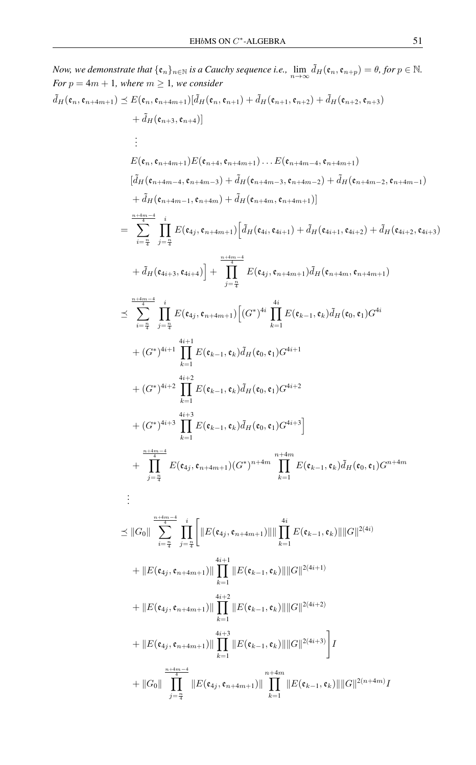Now we demonstrate that {
$$
\epsilon_n
$$
}<sub>n\epsilon\_1</sub> is a Cauchy sequence i.e.,  $\lim_{n\to\infty} \bar{d}_H(\epsilon_n, \epsilon_{n+p}) = \theta$ , for  $p \in \mathbb{N}$ .  
\nFor  $p = 4m + 1$ , where  $m \ge 1$ , we consider  
\n $\bar{d}_H(\epsilon_n, \epsilon_{n+4m+1}) [\bar{d}_H(\epsilon_n, \epsilon_{n+1}) + \bar{d}_H(\epsilon_{n+1}, \epsilon_{n+2}) + \bar{d}_H(\epsilon_{n+2}, \epsilon_{n+3})$   
\n $+ \bar{d}_H(\epsilon_{n+3}, \epsilon_{n+4})]$   
\n $\vdots$   
\n $E(\epsilon_n, \epsilon_{n+4m+1}) E(\epsilon_{n+4}, \epsilon_{n+4m+1}) \dots E(\epsilon_{n+4m-4}, \epsilon_{n+4m+1})$   
\n $= \frac{E(\epsilon_n, \epsilon_{n+4m-1}, \epsilon_{n+4m-3}) + \bar{d}_H(\epsilon_{n+4m-3}, \epsilon_{n+4m-2}) + \bar{d}_H(\epsilon_{n+4m-2}, \epsilon_{n+4m-1})}{\pm d_H(\epsilon_{n+4m-1}, \epsilon_{n+4m}) + d_H(\epsilon_{n+4m}, \epsilon_{n+4m+1})}$   
\n $= \sum_{i=\frac{n}{2}}^{\frac{n+4m-4}{2}} \prod_{j=\frac{n}{2}}^{\frac{n}{2}} E(\epsilon_{4j}, \epsilon_{n+4m+1}) [\bar{d}_H(\epsilon_{4i}, \epsilon_{4i+1}) + \bar{d}_H(\epsilon_{4i+1}, \epsilon_{4i+2}) + \bar{d}_H(\epsilon_{4i+2}, \epsilon_{4i+3})$   
\n $+ \bar{d}_H(\epsilon_{4i+3}, \epsilon_{4i+4})] + \prod_{j=\frac{n}{2}}^{\frac{n+4m-4}{2}} E(\epsilon_{4j}, \epsilon_{n+4m+1}) \bar{d}_H(\epsilon_{n+4m}, \epsilon_{n+4m+1})$   
\n $\leq \sum_{i=\frac{n}{2}}^{\frac{n+4m-4}{2}} \prod_{j=\frac{n}{2}}^{\frac{n}{2}} E(\epsilon_{4j}, \epsilon_{n+4m+1}) [(\bar{G}^*)^{4i}] + \prod_{k=1}^{\frac{n+4m-4}{2}} E(\epsilon_{k$ 

$$
k=1
$$
  

$$
+ ||G_0|| \prod_{j=\frac{n}{4}}^{\frac{n+4m-4}{4}} ||E(\mathfrak{e}_{4j}, \mathfrak{e}_{n+4m+1})|| \prod_{k=1}^{n+4m} ||E(\mathfrak{e}_{k-1}, \mathfrak{e}_k)|| ||G||^{2(n+4m)}I
$$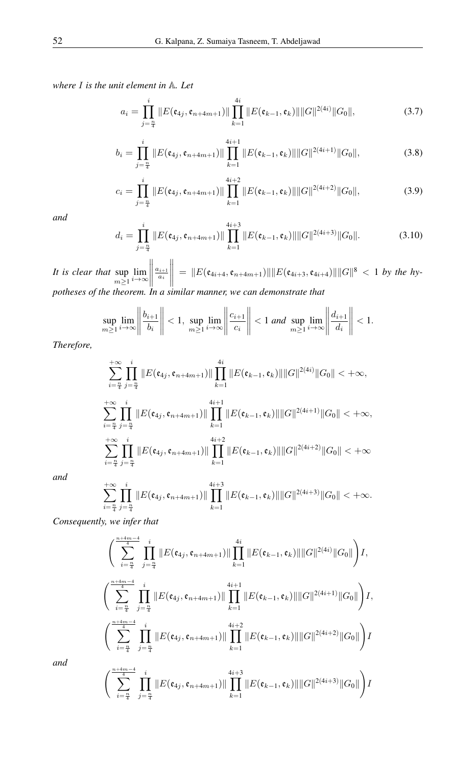*where* I *is the unit element in* A*. Let*

$$
a_i = \prod_{j=\frac{n}{4}}^i \|E(\mathfrak{e}_{4j}, \mathfrak{e}_{n+4m+1})\| \prod_{k=1}^{4i} \|E(\mathfrak{e}_{k-1}, \mathfrak{e}_k)\| \|G\|^{2(4i)} \|G_0\|,
$$
(3.7)

$$
b_i = \prod_{j=\frac{n}{4}}^i \|E(\mathfrak{e}_{4j}, \mathfrak{e}_{n+4m+1})\| \prod_{k=1}^{4i+1} \|E(\mathfrak{e}_{k-1}, \mathfrak{e}_k)\| \|G\|^{2(4i+1)} \|G_0\|,
$$
(3.8)

$$
c_i = \prod_{j=\frac{n}{4}}^i \|E(\mathfrak{e}_{4j}, \mathfrak{e}_{n+4m+1})\| \prod_{k=1}^{4i+2} \|E(\mathfrak{e}_{k-1}, \mathfrak{e}_k)\| \|G\|^{2(4i+2)} \|G_0\|,
$$
(3.9)

*and*

$$
d_i = \prod_{j=\frac{n}{4}}^i \|E(\mathfrak{e}_{4j}, \mathfrak{e}_{n+4m+1})\| \prod_{k=1}^{4i+3} \|E(\mathfrak{e}_{k-1}, \mathfrak{e}_k)\| \|G\|^{2(4i+3)} \|G_0\|.
$$
 (3.10)

*It is clear that* sup  $m \geq 1$  $\lim_{i\to\infty}$  $\begin{array}{c} \hline \end{array}$  $\frac{a_{i+1}}{a_i}$  $\begin{array}{c} \hline \end{array}$  $= \|E(\mathfrak{e}_{4i+4}, \mathfrak{e}_{n+4m+1})\| \|E(\mathfrak{e}_{4i+3}, \mathfrak{e}_{4i+4})\| \|G\|^8 < 1$  by the hy*potheses of the theorem. In a similar manner, we can demonstrate that*

$$
\sup_{m\geq 1}\lim_{i\to\infty}\left\|\frac{b_{i+1}}{b_i}\right\|<1,\sup_{m\geq 1}\lim_{i\to\infty}\left\|\frac{c_{i+1}}{c_i}\right\|<1\text{ and }\sup_{m\geq 1}\lim_{i\to\infty}\left\|\frac{d_{i+1}}{d_i}\right\|<1.
$$

*Therefore,*

$$
\sum_{i=\frac{n}{4}}^{+\infty} \prod_{j=\frac{n}{4}}^{i} \|E(\mathfrak{e}_{4j}, \mathfrak{e}_{n+4m+1})\| \prod_{k=1}^{4i} \|E(\mathfrak{e}_{k-1}, \mathfrak{e}_k)\| \|G\|^{2(4i)} \|G_0\| < +\infty,
$$
  

$$
\sum_{i=\frac{n}{4}}^{+\infty} \prod_{j=\frac{n}{4}}^{i} \|E(\mathfrak{e}_{4j}, \mathfrak{e}_{n+4m+1})\| \prod_{k=1}^{4i+1} \|E(\mathfrak{e}_{k-1}, \mathfrak{e}_k)\| \|G\|^{2(4i+1)} \|G_0\| < +\infty,
$$
  

$$
\sum_{i=\frac{n}{4}}^{+\infty} \prod_{j=\frac{n}{4}}^{i} \|E(\mathfrak{e}_{4j}, \mathfrak{e}_{n+4m+1})\| \prod_{k=1}^{4i+2} \|E(\mathfrak{e}_{k-1}, \mathfrak{e}_k)\| \|G\|^{2(4i+2)} \|G_0\| < +\infty
$$

*and*

$$
\sum_{i=\frac{n}{4}}^{+\infty} \prod_{j=\frac{n}{4}}^{i} \|E(\mathfrak{e}_{4j}, \mathfrak{e}_{n+4m+1})\| \prod_{k=1}^{4i+3} \|E(\mathfrak{e}_{k-1}, \mathfrak{e}_k)\| \|G\|^{2(4i+3)} \|G_0\| < +\infty.
$$

*Consequently, we infer that*

$$
\left(\sum_{i=\frac{n}{4}}^{\frac{n+4m-4}{4}} \prod_{j=\frac{n}{4}}^{i} \|E(\mathfrak{e}_{4j}, \mathfrak{e}_{n+4m+1})\| \prod_{k=1}^{4i} \|E(\mathfrak{e}_{k-1}, \mathfrak{e}_{k})\| \|G\|^{2(4i)} \|G_0\|\right) I,
$$
\n
$$
\left(\sum_{i=\frac{n}{4}}^{\frac{n+4m-4}{4}} \prod_{j=\frac{n}{4}}^{i} \|E(\mathfrak{e}_{4j}, \mathfrak{e}_{n+4m+1})\| \prod_{k=1}^{4i+1} \|E(\mathfrak{e}_{k-1}, \mathfrak{e}_{k})\| \|G\|^{2(4i+1)} \|G_0\|\right) I,
$$
\n
$$
\left(\sum_{i=\frac{n}{4}}^{\frac{n+4m-4}{4}} \prod_{j=\frac{n}{4}}^{i} \|E(\mathfrak{e}_{4j}, \mathfrak{e}_{n+4m+1})\| \prod_{k=1}^{4i+2} \|E(\mathfrak{e}_{k-1}, \mathfrak{e}_{k})\| \|G\|^{2(4i+2)} \|G_0\|\right) I
$$
\n
$$
\left(\sum_{i=\frac{n}{4}}^{\frac{n+4m-4}{4}} \prod_{j=\frac{n}{4}}^{i} \|E(\mathfrak{e}_{4j}, \mathfrak{e}_{n+4m+1})\| \prod_{k=1}^{4i+3} \|E(\mathfrak{e}_{k-1}, \mathfrak{e}_{k})\| \|G\|^{2(4i+3)} \|G_0\|\right) I
$$

*and*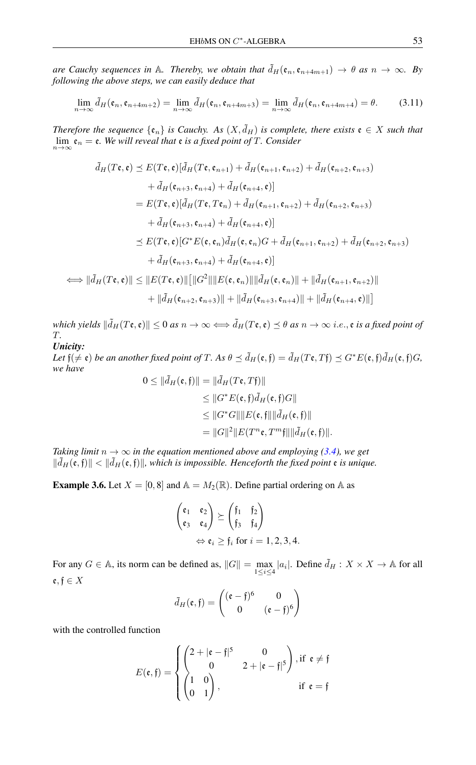*are Cauchy sequences in* A*. Thereby, we obtain that*  $\tilde{d}_H(\mathfrak{e}_n, \mathfrak{e}_{n+4m+1}) \to \theta$  *as*  $n \to \infty$ *. By following the above steps, we can easily deduce that*

$$
\lim_{n \to \infty} \tilde{d}_H(\mathfrak{e}_n, \mathfrak{e}_{n+4m+2}) = \lim_{n \to \infty} \tilde{d}_H(\mathfrak{e}_n, \mathfrak{e}_{n+4m+3}) = \lim_{n \to \infty} \tilde{d}_H(\mathfrak{e}_n, \mathfrak{e}_{n+4m+4}) = \theta.
$$
 (3.11)

*Therefore the sequence*  $\{\mathfrak{e}_n\}$  *is Cauchy.* As  $(X, \tilde{d}_H)$  *is complete, there exists*  $\mathfrak{e} \in X$  *such that*  $\lim_{n\to\infty}$   $\mathfrak{e}_n = \mathfrak{e}$ *. We will reveal that*  $\mathfrak{e}$  *is a fixed point of*  $T$ *. Consider* 

$$
\tilde{d}_H(T\mathbf{e}, \mathbf{e}) \preceq E(T\mathbf{e}, \mathbf{e})[\tilde{d}_H(T\mathbf{e}, \mathbf{e}_{n+1}) + \tilde{d}_H(\mathbf{e}_{n+1}, \mathbf{e}_{n+2}) + \tilde{d}_H(\mathbf{e}_{n+2}, \mathbf{e}_{n+3})
$$
\n
$$
+ \tilde{d}_H(\mathbf{e}_{n+3}, \mathbf{e}_{n+4}) + \tilde{d}_H(\mathbf{e}_{n+4}, \mathbf{e})]
$$
\n
$$
= E(T\mathbf{e}, \mathbf{e})[\tilde{d}_H(T\mathbf{e}, T\mathbf{e}_n) + \tilde{d}_H(\mathbf{e}_{n+1}, \mathbf{e}_{n+2}) + \tilde{d}_H(\mathbf{e}_{n+2}, \mathbf{e}_{n+3})
$$
\n
$$
+ \tilde{d}_H(\mathbf{e}_{n+3}, \mathbf{e}_{n+4}) + \tilde{d}_H(\mathbf{e}_{n+4}, \mathbf{e})]
$$
\n
$$
\preceq E(T\mathbf{e}, \mathbf{e})[G^*E(\mathbf{e}, \mathbf{e}_n)\tilde{d}_H(\mathbf{e}, \mathbf{e}_n)G + \tilde{d}_H(\mathbf{e}_{n+1}, \mathbf{e}_{n+2}) + \tilde{d}_H(\mathbf{e}_{n+2}, \mathbf{e}_{n+3})
$$
\n
$$
+ \tilde{d}_H(\mathbf{e}_{n+3}, \mathbf{e}_{n+4}) + \tilde{d}_H(\mathbf{e}_{n+4}, \mathbf{e})]
$$
\n
$$
\Longleftrightarrow \|\tilde{d}_H(T\mathbf{e}, \mathbf{e})\| \leq \|E(T\mathbf{e}, \mathbf{e})\| [\|G^2\|]E(\mathbf{e}, \mathbf{e}_n) \| \| \tilde{d}_H(\mathbf{e}, \mathbf{e}_n) \| + \| \tilde{d}_H(\mathbf{e}_{n+1}, \mathbf{e}_{n+2}) \|
$$
\n
$$
+ \|\tilde{d}_H(\mathbf{e}_{n+2}, \mathbf{e}_{n+3})\| + \| \tilde{d}_H(\mathbf{e}_{n+3}, \mathbf{e}_{n+4})\| + \| \tilde{d}_H(\mathbf{e}_{n+4}, \mathbf{e})
$$

*which yields*  $\|\tilde{d}_H(T\mathfrak{e}, \mathfrak{e})\| \leq 0$  *as*  $n \to \infty \Longleftrightarrow \tilde{d}_H(T\mathfrak{e}, \mathfrak{e}) \leq \theta$  *as*  $n \to \infty$  *i.e.,*  $\mathfrak{e}$  *is a fixed point of* T*. Unicity:*

*Let*  $f(\neq \varepsilon)$  *be an another fixed point of* T. As  $\theta \preceq \tilde{d}_H(\varepsilon, f) = \tilde{d}_H(T\varepsilon, Tf) \preceq G^*E(\varepsilon, f)\tilde{d}_H(\varepsilon, f)G$ , *we have*

$$
0 \leq \|\tilde{d}_H(\mathfrak{e}, \mathfrak{f})\| = \|\tilde{d}_H(T\mathfrak{e}, T\mathfrak{f})\|
$$
  
\n
$$
\leq \|G^*E(\mathfrak{e}, \mathfrak{f})\tilde{d}_H(\mathfrak{e}, \mathfrak{f})G\|
$$
  
\n
$$
\leq \|G^*G\| \|E(\mathfrak{e}, \mathfrak{f})\| \|\tilde{d}_H(\mathfrak{e}, \mathfrak{f})\|
$$
  
\n
$$
= \|G\|^2 \|E(T^m\mathfrak{e}, T^m\mathfrak{f})\| \|\tilde{d}_H(\mathfrak{e}, \mathfrak{f})\|.
$$

*Taking limit*  $n \to \infty$  *in the equation mentioned above and employing [\(3.4\)](#page-2-0), we get*  $\|\tilde{d}_H(\mathfrak{e},\mathfrak{f})\| < \|\tilde{d}_H(\mathfrak{e},\mathfrak{f})\|$ , which is impossible. Henceforth the fixed point  $\mathfrak{e}$  is unique.

**Example 3.6.** Let  $X = [0, 8]$  and  $\mathbb{A} = M_2(\mathbb{R})$ . Define partial ordering on  $\mathbb{A}$  as

$$
\begin{pmatrix} \mathfrak{e}_1 & \mathfrak{e}_2 \\ \mathfrak{e}_3 & \mathfrak{e}_4 \end{pmatrix} \succeq \begin{pmatrix} \mathfrak{f}_1 & \mathfrak{f}_2 \\ \mathfrak{f}_3 & \mathfrak{f}_4 \end{pmatrix}
$$

$$
\Leftrightarrow \mathfrak{e}_i \geq \mathfrak{f}_i \text{ for } i = 1, 2, 3, 4.
$$

For any  $G \in \mathbb{A}$ , its norm can be defined as,  $||G|| = \max_{1 \leq i \leq 4} |a_i|$ . Define  $\tilde{d}_H : X \times X \to \mathbb{A}$  for all  $\mathfrak{e}, \mathfrak{f} \in X$ 

$$
\tilde{d}_H(\mathfrak{e}, \mathfrak{f}) = \begin{pmatrix} (\mathfrak{e} - \mathfrak{f})^6 & 0 \\ 0 & (\mathfrak{e} - \mathfrak{f})^6 \end{pmatrix}
$$

with the controlled function

$$
E(\mathfrak{e}, \mathfrak{f}) = \begin{cases} \begin{pmatrix} 2 + |\mathfrak{e} - \mathfrak{f}|^5 & 0 \\ 0 & 2 + |\mathfrak{e} - \mathfrak{f}|^5 \end{pmatrix}, \text{if } \mathfrak{e} \neq \mathfrak{f} \\ \begin{pmatrix} 1 & 0 \\ 0 & 1 \end{pmatrix}, & \text{if } \mathfrak{e} = \mathfrak{f} \end{cases}
$$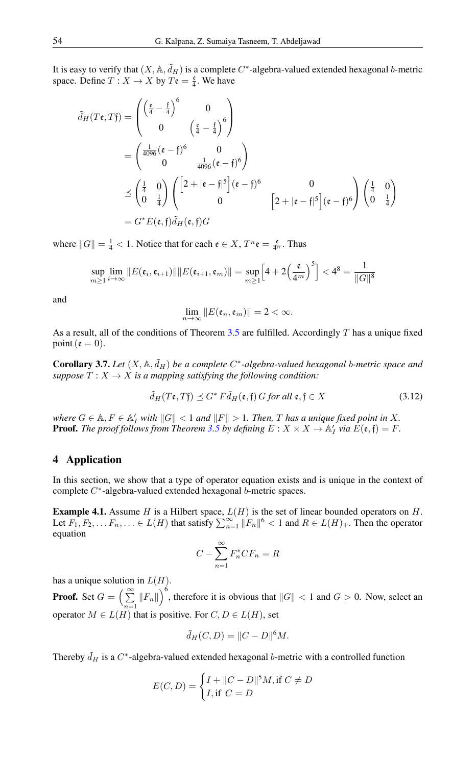It is easy to verify that  $(X, \mathbb{A}, \tilde{d}_H)$  is a complete  $C^*$ -algebra-valued extended hexagonal b-metric space. Define  $T: X \to X$  by  $T\mathfrak{e} = \frac{\mathfrak{e}}{4}$ . We have

$$
\tilde{d}_H(T\mathfrak{e}, T\mathfrak{f}) = \begin{pmatrix} \left(\frac{\mathfrak{e}}{4} - \frac{\mathfrak{f}}{4}\right)^6 & 0\\ 0 & \left(\frac{\mathfrak{e}}{4} - \frac{\mathfrak{f}}{4}\right)^6\\ \end{pmatrix}
$$
\n
$$
= \begin{pmatrix} \frac{1}{4096}(\mathfrak{e} - \mathfrak{f})^6 & 0\\ 0 & \frac{1}{4096}(\mathfrak{e} - \mathfrak{f})^6\\ \end{pmatrix}
$$
\n
$$
\preceq \begin{pmatrix} \frac{1}{4} & 0\\ 0 & \frac{1}{4} \end{pmatrix} \begin{pmatrix} \left[2 + |\mathfrak{e} - \mathfrak{f}|^5\right] (\mathfrak{e} - \mathfrak{f})^6 & 0\\ 0 & \left[2 + |\mathfrak{e} - \mathfrak{f}|^5\right] (\mathfrak{e} - \mathfrak{f})^6 \end{pmatrix} \begin{pmatrix} \frac{1}{4} & 0\\ 0 & \frac{1}{4} \end{pmatrix}
$$
\n
$$
= G^* E(\mathfrak{e}, \mathfrak{f}) \tilde{d}_H(\mathfrak{e}, \mathfrak{f}) G
$$

where  $||G|| = \frac{1}{4} < 1$ . Notice that for each  $\mathfrak{e} \in X$ ,  $T^n \mathfrak{e} = \frac{\mathfrak{e}}{4^n}$ . Thus

$$
\sup_{m\geq 1}\lim_{i\to\infty}||E(\mathfrak{e}_i,\mathfrak{e}_{i+1})||||E(\mathfrak{e}_{i+1},\mathfrak{e}_m)||=\sup_{m\geq 1}\Big[4+2\Big(\frac{\mathfrak{e}}{4^m}\Big)^5\Big]<4^8=\frac{1}{||G||^8}
$$

and

$$
\lim_{n\to\infty}||E(\mathfrak{e}_n,\mathfrak{e}_m)||=2<\infty.
$$

As a result, all of the conditions of Theorem [3.5](#page-2-1) are fulfilled. Accordingly  $T$  has a unique fixed point ( $\mathfrak{e} = 0$ ).

**Corollary 3.7.** Let  $(X, \mathbb{A}, \tilde{d}_H)$  be a complete  $C^*$ -algebra-valued hexagonal b-metric space and *suppose*  $T : X \to X$  *is a mapping satisfying the following condition:* 

$$
\tilde{d}_H(T\mathfrak{e}, T\mathfrak{f}) \preceq G^* F \bar{d}_H(\mathfrak{e}, \mathfrak{f}) G \text{ for all } \mathfrak{e}, \mathfrak{f} \in X \tag{3.12}
$$

*where*  $G \in \mathbb{A}, F \in \mathbb{A}'_I$  *with*  $||G|| < 1$  *and*  $||F|| > 1$ *. Then, T has a unique fixed point in* X*.* **Proof.** The proof follows from Theorem [3.5](#page-2-1) by defining  $E: X \times X \to \mathbb{A}_I'$  via  $E(\mathfrak{e}, \mathfrak{f}) = F$ .

## 4 Application

In this section, we show that a type of operator equation exists and is unique in the context of complete C\*-algebra-valued extended hexagonal b-metric spaces.

**Example 4.1.** Assume H is a Hilbert space,  $L(H)$  is the set of linear bounded operators on H. Let  $F_1, F_2, \ldots F_n, \ldots \in L(H)$  that satisfy  $\sum_{n=1}^{\infty} ||F_n||^6 < 1$  and  $R \in L(H)_+$ . Then the operator equation

$$
C - \sum_{n=1}^{\infty} F_n^* C F_n = R
$$

has a unique solution in  $L(H)$ .

**Proof.** Set  $G = \begin{pmatrix} \infty \\ \sum \end{pmatrix}$  $\sum_{n=1}^{\infty} ||F_n||$ , therefore it is obvious that  $||G|| < 1$  and  $G > 0$ . Now, select an operator  $M \in L(H)$  that is positive. For  $C, D \in L(H)$ , set

$$
\tilde{d}_H(C,D) = ||C - D||^6 M.
$$

Thereby  $\tilde{d}_H$  is a C<sup>\*</sup>-algebra-valued extended hexagonal b-metric with a controlled function

$$
E(C, D) = \begin{cases} I + ||C - D||^5 M, \text{if } C \neq D \\ I, \text{if } C = D \end{cases}
$$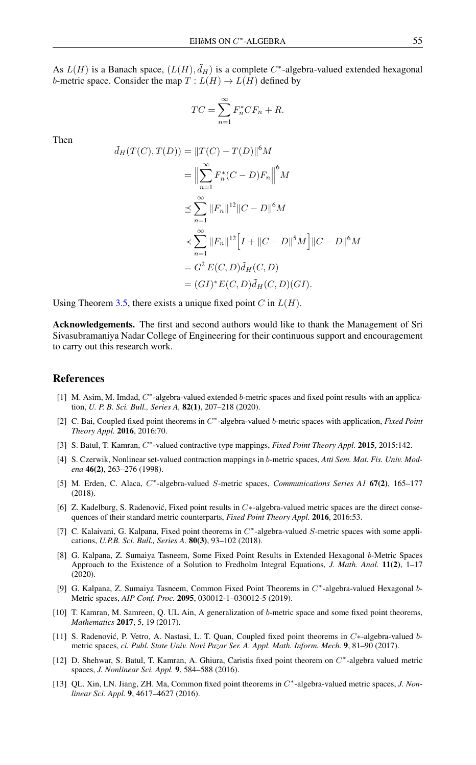As  $L(H)$  is a Banach space,  $(L(H), \tilde{d}_H)$  is a complete C<sup>\*</sup>-algebra-valued extended hexagonal b-metric space. Consider the map  $T: L(H) \to L(H)$  defined by

$$
TC = \sum_{n=1}^{\infty} F_n^* CF_n + R.
$$

Then

$$
\tilde{d}_H(T(C), T(D)) = ||T(C) - T(D)||^6 M
$$
  
\n
$$
= \Big\| \sum_{n=1}^{\infty} F_n^*(C - D) F_n \Big\|^6 M
$$
  
\n
$$
\leq \sum_{n=1}^{\infty} ||F_n||^{12} ||C - D||^6 M
$$
  
\n
$$
\leq \sum_{n=1}^{\infty} ||F_n||^{12} \Big[ I + ||C - D||^5 M \Big] ||C - D||^6 M
$$
  
\n
$$
= G^2 E(C, D) \tilde{d}_H(C, D)
$$
  
\n
$$
= (GI)^* E(C, D) \tilde{d}_H(C, D) (GI).
$$

Using Theorem [3.5,](#page-2-1) there exists a unique fixed point C in  $L(H)$ .

Acknowledgements. The first and second authors would like to thank the Management of Sri Sivasubramaniya Nadar College of Engineering for their continuous support and encouragement to carry out this research work.

## <span id="page-7-0"></span>References

- <span id="page-7-4"></span>[1] M. Asim, M. Imdad,  $C^*$ -algebra-valued extended b-metric spaces and fixed point results with an application, *U. P. B. Sci. Bull., Series A,* 82(1), 207–218 (2020).
- <span id="page-7-6"></span>[2] C. Bai, Coupled fixed point theorems in  $C^*$ -algebra-valued b-metric spaces with application, *Fixed Point Theory Appl.* 2016, 2016:70.
- <span id="page-7-7"></span>[3] S. Batul, T. Kamran,  $C^*$ -valued contractive type mappings, *Fixed Point Theory Appl.* 2015, 2015:142.
- <span id="page-7-2"></span>[4] S. Czerwik, Nonlinear set-valued contraction mappings in b-metric spaces, *Atti Sem. Mat. Fis. Univ. Modena* 46(2), 263–276 (1998).
- <span id="page-7-8"></span>[5] M. Erden, C. Alaca,  $C^*$ -algebra-valued S-metric spaces, *Communications Series A1* 67(2), 165-177 (2018).
- <span id="page-7-9"></span>[6] Z. Kadelburg, S. Radenović, Fixed point results in  $C^*$ -algebra-valued metric spaces are the direct consequences of their standard metric counterparts, *Fixed Point Theory Appl.* 2016, 2016:53.
- <span id="page-7-10"></span>[7] C. Kalaivani, G. Kalpana, Fixed point theorems in  $C^*$ -algebra-valued S-metric spaces with some applications, *U.P.B. Sci. Bull., Series A.* 80(3), 93–102 (2018).
- <span id="page-7-3"></span>[8] G. Kalpana, Z. Sumaiya Tasneem, Some Fixed Point Results in Extended Hexagonal b-Metric Spaces Approach to the Existence of a Solution to Fredholm Integral Equations, *J. Math. Anal.* 11(2), 1–17 (2020).
- <span id="page-7-5"></span>[9] G. Kalpana, Z. Sumaiya Tasneem, Common Fixed Point Theorems in  $C^*$ -algebra-valued Hexagonal b-Metric spaces, *AIP Conf. Proc.* 2095, 030012-1–030012-5 (2019).
- <span id="page-7-1"></span>[10] T. Kamran, M. Samreen, Q. UL Ain, A generalization of b-metric space and some fixed point theorems, *Mathematics* 2017, 5, 19 (2017).
- <span id="page-7-11"></span>[11] S. Radenović, P. Vetro, A. Nastasi, L. T. Quan, Coupled fixed point theorems in C∗-algebra-valued bmetric spaces, *ci. Publ. State Univ. Novi Pazar Ser. A. Appl. Math. Inform. Mech.* 9, 81–90 (2017).
- <span id="page-7-12"></span>[12] D. Shehwar, S. Batul, T. Kamran, A. Ghiura, Caristis fixed point theorem on  $C^*$ -algebra valued metric spaces, *J. Nonlinear Sci. Appl.* 9, 584–588 (2016).
- <span id="page-7-13"></span>[13] QL. Xin, LN. Jiang, ZH. Ma, Common fixed point theorems in  $C^*$ -algebra-valued metric spaces, *J. Nonlinear Sci. Appl.* 9, 4617–4627 (2016).